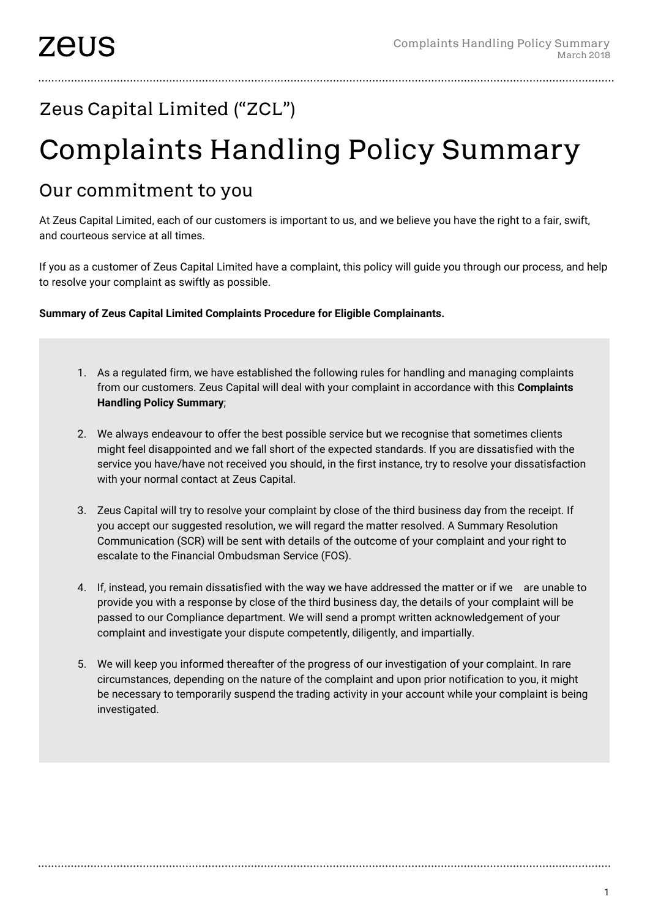## Zeus Capital Limited ("ZCL")

## Complaints Handling Policy Summary

## Our commitment to you

At Zeus Capital Limited, each of our customers is important to us, and we believe you have the right to a fair, swift, and courteous service at all times.

If you as a customer of Zeus Capital Limited have a complaint, this policy will guide you through our process, and help to resolve your complaint as swiftly as possible.

**Summary of Zeus Capital Limited Complaints Procedure for Eligible Complainants.**

- 1. As a regulated firm, we have established the following rules for handling and managing complaints from our customers. Zeus Capital will deal with your complaint in accordance with this **Complaints Handling Policy Summary**;
- 2. We always endeavour to offer the best possible service but we recognise that sometimes clients might feel disappointed and we fall short of the expected standards. If you are dissatisfied with the service you have/have not received you should, in the first instance, try to resolve your dissatisfaction with your normal contact at Zeus Capital.
- 3. Zeus Capital will try to resolve your complaint by close of the third business day from the receipt. If you accept our suggested resolution, we will regard the matter resolved. A Summary Resolution Communication (SCR) will be sent with details of the outcome of your complaint and your right to escalate to the Financial Ombudsman Service (FOS).
- 4. If, instead, you remain dissatisfied with the way we have addressed the matter or if we are unable to provide you with a response by close of the third business day, the details of your complaint will be passed to our Compliance department. We will send a prompt written acknowledgement of your complaint and investigate your dispute competently, diligently, and impartially.
- 5. We will keep you informed thereafter of the progress of our investigation of your complaint. In rare circumstances, depending on the nature of the complaint and upon prior notification to you, it might be necessary to temporarily suspend the trading activity in your account while your complaint is being investigated.